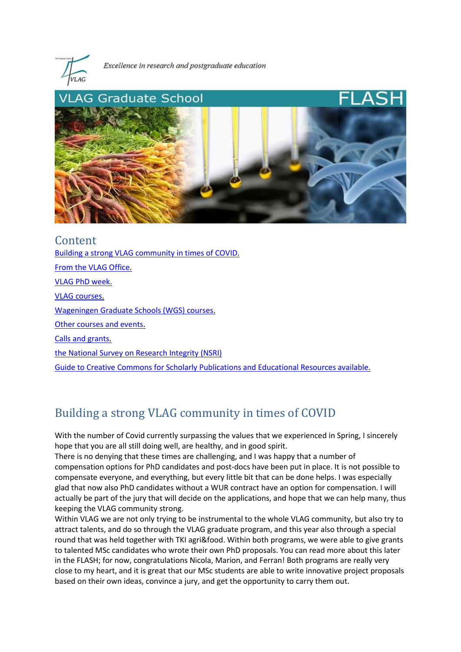

Excellence in research and postgraduate education



Content [Building a strong VLAG community in times of COVID.](#page-0-0)  [From the VLAG Office.](#page-1-0)  [VLAG PhD week.](#page-2-0)  [VLAG courses.](#page-3-0)  [Wageningen Graduate Schools \(WGS\) courses.](#page-3-1)  [Other courses and events.](#page-4-0)  [Calls and grants.](#page-5-0)  [the National Survey on Research Integrity \(NSRI\)](#page-5-1) [Guide to Creative Commons for Scholarly Publications and Educational Resources available.](#page-5-2) 

# <span id="page-0-0"></span>Building a strong VLAG community in times of COVID

With the number of Covid currently surpassing the values that we experienced in Spring, I sincerely hope that you are all still doing well, are healthy, and in good spirit.

There is no denying that these times are challenging, and I was happy that a number of compensation options for PhD candidates and post-docs have been put in place. It is not possible to compensate everyone, and everything, but every little bit that can be done helps. I was especially glad that now also PhD candidates without a WUR contract have an option for compensation. I will actually be part of the jury that will decide on the applications, and hope that we can help many, thus keeping the VLAG community strong.

Within VLAG we are not only trying to be instrumental to the whole VLAG community, but also try to attract talents, and do so through the VLAG graduate program, and this year also through a special round that was held together with TKI agri&food. Within both programs, we were able to give grants to talented MSc candidates who wrote their own PhD proposals. You can read more about this later in the FLASH; for now, congratulations Nicola, Marion, and Ferran! Both programs are really very close to my heart, and it is great that our MSc students are able to write innovative project proposals based on their own ideas, convince a jury, and get the opportunity to carry them out.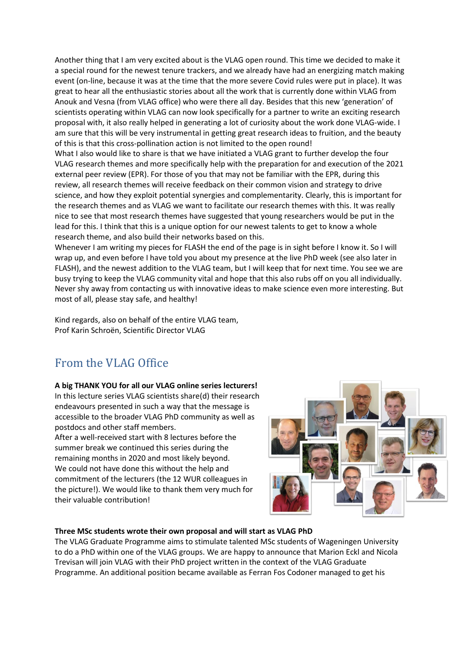Another thing that I am very excited about is the VLAG open round. This time we decided to make it a special round for the newest tenure trackers, and we already have had an energizing match making event (on-line, because it was at the time that the more severe Covid rules were put in place). It was great to hear all the enthusiastic stories about all the work that is currently done within VLAG from Anouk and Vesna (from VLAG office) who were there all day. Besides that this new 'generation' of scientists operating within VLAG can now look specifically for a partner to write an exciting research proposal with, it also really helped in generating a lot of curiosity about the work done VLAG-wide. I am sure that this will be very instrumental in getting great research ideas to fruition, and the beauty of this is that this cross-pollination action is not limited to the open round!

What I also would like to share is that we have initiated a VLAG grant to further develop the four VLAG research themes and more specifically help with the preparation for and execution of the 2021 external peer review (EPR). For those of you that may not be familiar with the EPR, during this review, all research themes will receive feedback on their common vision and strategy to drive science, and how they exploit potential synergies and complementarity. Clearly, this is important for the research themes and as VLAG we want to facilitate our research themes with this. It was really nice to see that most research themes have suggested that young researchers would be put in the lead for this. I think that this is a unique option for our newest talents to get to know a whole research theme, and also build their networks based on this.

Whenever I am writing my pieces for FLASH the end of the page is in sight before I know it. So I will wrap up, and even before I have told you about my presence at the live PhD week (see also later in FLASH), and the newest addition to the VLAG team, but I will keep that for next time. You see we are busy trying to keep the VLAG community vital and hope that this also rubs off on you all individually. Never shy away from contacting us with innovative ideas to make science even more interesting. But most of all, please stay safe, and healthy!

Kind regards, also on behalf of the entire VLAG team, Prof Karin Schroën, Scientific Director VLAG

# <span id="page-1-0"></span>From the VLAG Office

## **A big THANK YOU for all our VLAG online series lecturers!**

In this lecture series VLAG scientists share(d) their research endeavours presented in such a way that the message is accessible to the broader VLAG PhD community as well as postdocs and other staff members.

After a well-received start with 8 lectures before the summer break we continued this series during the remaining months in 2020 and most likely beyond. We could not have done this without the help and commitment of the lecturers (the 12 WUR colleagues in the picture!). We would like to thank them very much for their valuable contribution!



### **Three MSc students wrote their own proposal and will start as VLAG PhD**

The VLAG Graduate Programme aims to stimulate talented MSc students of Wageningen University to do a PhD within one of the VLAG groups. We are happy to announce that Marion Eckl and Nicola Trevisan will join VLAG with their PhD project written in the context of the VLAG Graduate Programme. An additional position became available as Ferran Fos Codoner managed to get his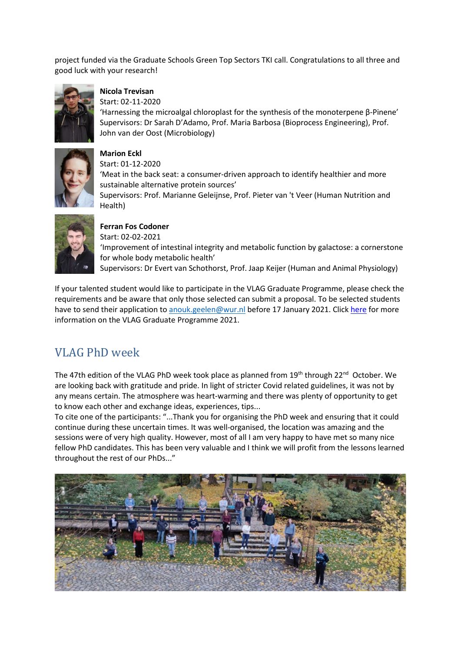project funded via the Graduate Schools Green Top Sectors TKI call. Congratulations to all three and good luck with your research!



## **Nicola Trevisan**

Start: 02-11-2020

'Harnessing the microalgal chloroplast for the synthesis of the monoterpene β-Pinene' Supervisors: Dr Sarah D'Adamo, Prof. Maria Barbosa (Bioprocess Engineering), Prof. John van der Oost (Microbiology)



**Marion Eckl**  Start: 01-12-2020 'Meat in the back seat: a consumer-driven approach to identify healthier and more sustainable alternative protein sources' Supervisors: Prof. Marianne Geleijnse, Prof. Pieter van 't Veer (Human Nutrition and Health)



### **Ferran Fos Codoner**

Start: 02-02-2021 'Improvement of intestinal integrity and metabolic function by galactose: a cornerstone for whole body metabolic health' Supervisors: Dr Evert van Schothorst, Prof. Jaap Keijer (Human and Animal Physiology)

If your talented student would like to participate in the VLAG Graduate Programme, please check the requirements and be aware that only those selected can submit a proposal. To be selected students have to send their application to [anouk.geelen@wur.nl](mailto:anouk.geelen@wur.nl) before 17 January 2021. Click [here](https://www.vlaggraduateschool.nl/en/research-1/VLAG-Calls.htm) for more information on the VLAG Graduate Programme 2021.

# <span id="page-2-0"></span>VLAG PhD week

The 47th edition of the VLAG PhD week took place as planned from  $19<sup>th</sup>$  through 22<sup>nd</sup> October. We are looking back with gratitude and pride. In light of stricter Covid related guidelines, it was not by any means certain. The atmosphere was heart-warming and there was plenty of opportunity to get to know each other and exchange ideas, experiences, tips...

To cite one of the participants: "...Thank you for organising the PhD week and ensuring that it could continue during these uncertain times. It was well-organised, the location was amazing and the sessions were of very high quality. However, most of all I am very happy to have met so many nice fellow PhD candidates. This has been very valuable and I think we will profit from the lessons learned throughout the rest of our PhDs..."

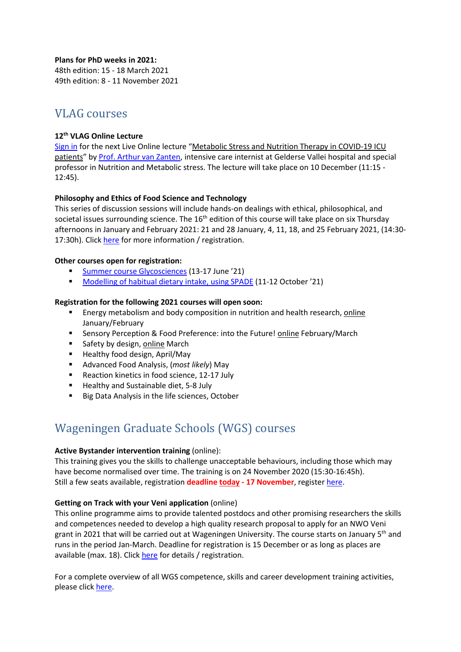**Plans for PhD weeks in 2021:** 48th edition: 15 - 18 March 2021

49th edition: 8 - 11 November 2021

# <span id="page-3-0"></span>VLAG courses

## **12th VLAG Online Lecture**

[Sign in](https://vlag.crs.wur.nl/courses/details/404/) for the next Live Online lecture "Metabolic Stress and Nutrition Therapy in COVID-19 ICU patients" b[y Prof. Arthur van Zanten,](https://www.wur.nl/en/newsarticle/Arthur-van-Zanten-appointed-to-special-professorship-in-nutrition-and-metabolic-stress.htm) intensive care internist at Gelderse Vallei hospital and special professor in Nutrition and Metabolic stress. The lecture will take place on 10 December (11:15 - 12:45).

## **Philosophy and Ethics of Food Science and Technology**

This series of discussion sessions will include hands-on dealings with ethical, philosophical, and societal issues surrounding science. The  $16<sup>th</sup>$  edition of this course will take place on six Thursday afternoons in January and February 2021: 21 and 28 January, 4, 11, 18, and 25 February 2021, (14:30 17:30h). Clic[k here](https://www.vlaggraduateschool.nl/en/courses/General-courses/VLAG-general-courses/Philosophy-and-Ethics-of-Food-Science-and-Technology.htm) for more information / registration.

### **Other courses open for registration:**

- [Summer course Glycosciences](https://www.vlaggraduateschool.nl/en/courses/course/Glycosciences21.htm) (13-17 June '21)
- [Modelling of habitual dietary intake, using SPADE](https://www.vlaggraduateschool.nl/en/courses/course/MHDI21.htm) (11-12 October '21)

### **Registration for the following 2021 courses will open soon:**

- **Energy metabolism and body composition in nutrition and health research, online** January/February
- Sensory Perception & Food Preference: into the Future! online February/March
- Safety by design, online March
- Healthy food design, April/May
- Advanced Food Analysis, (*most likely*) May
- Reaction kinetics in food science, 12-17 July
- Healthy and Sustainable diet, 5-8 July
- Big Data Analysis in the life sciences, October

# <span id="page-3-1"></span>Wageningen Graduate Schools (WGS) courses

### **Active Bystander intervention training** (online):

This training gives you the skills to challenge unacceptable behaviours, including those which may have become normalised over time. The training is on 24 November 2020 (15:30-16:45h). Still a few seats available, registration **deadline today - 17 November**, register [here.](https://www.wur.nl/en/activity/Active-Bystander-intervention-training.htm)

### **Getting on Track with your Veni application** (online)

This online programme aims to provide talented postdocs and other promising researchers the skills and competences needed to develop a high quality research proposal to apply for an NWO Veni grant in 2021 that will be carried out at Wageningen University. The course starts on January 5<sup>th</sup> and runs in the period Jan-March. Deadline for registration is 15 December or as long as places are available (max. 18). Click [here](https://wgs.crs.wur.nl/courses/details/113/) for details / registration.

For a complete overview of all WGS competence, skills and career development training activities, please click [here.](https://wgs.crs.wur.nl/)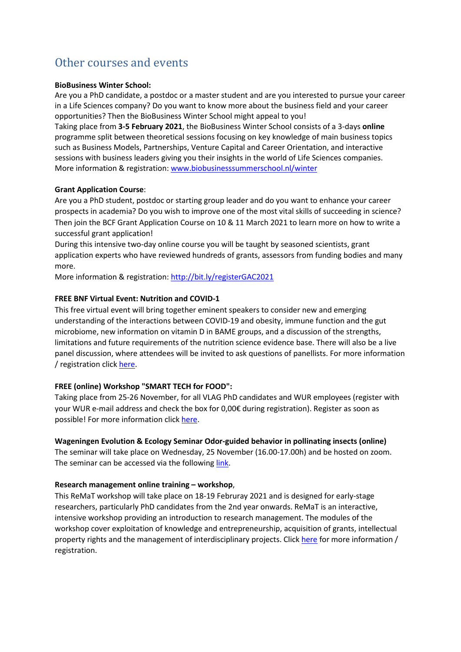# <span id="page-4-0"></span>Other courses and events

### **BioBusiness Winter School:**

Are you a PhD candidate, a postdoc or a master student and are you interested to pursue your career in a Life Sciences company? Do you want to know more about the business field and your career opportunities? Then the BioBusiness Winter School might appeal to you!

Taking place from **3-5 February 2021**, the BioBusiness Winter School consists of a 3-days **online** programme split between theoretical sessions focusing on key knowledge of main business topics such as Business Models, Partnerships, Venture Capital and Career Orientation, and interactive sessions with business leaders giving you their insights in the world of Life Sciences companies. More information & registration: [www.biobusinesssummerschool.nl/winter](http://www.biobusinesssummerschool.nl/winter)

### **Grant Application Course**:

Are you a PhD student, postdoc or starting group leader and do you want to enhance your career prospects in academia? Do you wish to improve one of the most vital skills of succeeding in science? Then join the BCF Grant Application Course on 10 & 11 March 2021 to learn more on how to write a successful grant application!

During this intensive two-day online course you will be taught by seasoned scientists, grant application experts who have reviewed hundreds of grants, assessors from funding bodies and many more.

More information & registration:<http://bit.ly/registerGAC2021>

### **FREE BNF Virtual Event: Nutrition and COVID-1**

This free virtual event will bring together eminent speakers to consider new and emerging understanding of the interactions between COVID-19 and obesity, immune function and the gut microbiome, new information on vitamin D in BAME groups, and a discussion of the strengths, limitations and future requirements of the nutrition science evidence base. There will also be a live panel discussion, where attendees will be invited to ask questions of panellists. For more information / registration click [here.](https://www.nutrition.org.uk/component/rseventspro/event/64-bnf-virtual-event-nutrition-and-covid-19.html)

### **FREE (online) Workshop "SMART TECH for FOOD":**

Taking place from 25-26 November, for all VLAG PhD candidates and WUR employees (register with your WUR e-mail address and check the box for 0,00€ during registration). Register as soon as possible! For more information click [here.](http://smarttech4food.activacongresos.com/)

### **Wageningen Evolution & Ecology Seminar Odor-guided behavior in pollinating insects (online)**

The seminar will take place on Wednesday, 25 November (16.00-17.00h) and be hosted on zoom. The seminar can be accessed via the following [link.](https://us02web.zoom.us/j/87486022373)

### **Research management online training – workshop**,

This ReMaT workshop will take place on 18-19 Februray 2021 and is designed for early-stage researchers, particularly PhD candidates from the 2nd year onwards. ReMaT is an interactive, intensive workshop providing an introduction to research management. The modules of the workshop cover exploitation of knowledge and entrepreneurship, acquisition of grants, intellectual property rights and the management of interdisciplinary projects. Click [here](https://tutech.de/en/termine-veranstaltungen/remat) for more information / registration.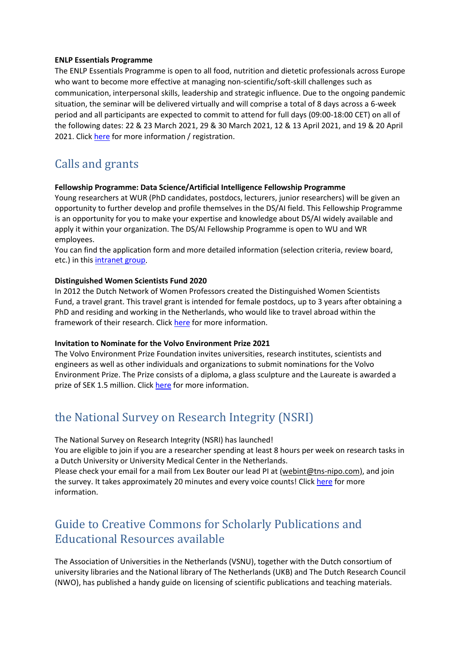### **ENLP Essentials Programme**

The ENLP Essentials Programme is open to all food, nutrition and dietetic professionals across Europe who want to become more effective at managing non-scientific/soft-skill challenges such as communication, interpersonal skills, leadership and strategic influence. Due to the ongoing pandemic situation, the seminar will be delivered virtually and will comprise a total of 8 days across a 6-week period and all participants are expected to commit to attend for full days (09:00-18:00 CET) on all of the following dates: 22 & 23 March 2021, 29 & 30 March 2021, 12 & 13 April 2021, and 19 & 20 April 2021. Clic[k here](https://www.enlp.eu.com/about-enlp) for more information / registration.

# <span id="page-5-0"></span>Calls and grants

#### **Fellowship Programme: Data Science/Artificial Intelligence Fellowship Programme**

Young researchers at WUR (PhD candidates, postdocs, lecturers, junior researchers) will be given an opportunity to further develop and profile themselves in the DS/AI field. This Fellowship Programme is an opportunity for you to make your expertise and knowledge about DS/AI widely available and apply it within your organization. The DS/AI Fellowship Programme is open to WU and WR employees.

You can find the application form and more detailed information (selection criteria, review board, etc.) in this [intranet group.](https://intranet.wur.nl/Project/FellowshipprogrammeDSAI)

#### **Distinguished Women Scientists Fund 2020**

In 2012 the Dutch Network of Women Professors created the Distinguished Women Scientists Fund, a travel grant. This travel grant is intended for female postdocs, up to 3 years after obtaining a PhD and residing and working in the Netherlands, who would like to travel abroad within the framework of their research. Click [here](https://www.lnvh.nl/dws-fund) for more information.

#### **Invitation to Nominate for the Volvo Environment Prize 2021**

The Volvo Environment Prize Foundation invites universities, research institutes, scientists and engineers as well as other individuals and organizations to submit nominations for the Volvo Environment Prize. The Prize consists of a diploma, a glass sculpture and the Laureate is awarded a prize of SEK 1.5 million. Click [here](https://www.environment-prize.com/) for more information.

# <span id="page-5-1"></span>the National Survey on Research Integrity (NSRI)

The National Survey on Research Integrity (NSRI) has launched!

You are eligible to join if you are a researcher spending at least 8 hours per week on research tasks in a Dutch University or University Medical Center in the Netherlands.

Please check your email for a mail from Lex Bouter our lead PI at [\(webint@tns-nipo.com\)](mailto:webint@tns-nipo.com), and join the survey. It takes approximately 20 minutes and every voice counts! Click [here](https://www.nsri2020.nl/) for more information.

# <span id="page-5-2"></span>Guide to Creative Commons for Scholarly Publications and Educational Resources available

The Association of Universities in the Netherlands (VSNU), together with the Dutch consortium of university libraries and the National library of The Netherlands (UKB) and The Dutch Research Council (NWO), has published a handy guide on licensing of scientific publications and teaching materials.